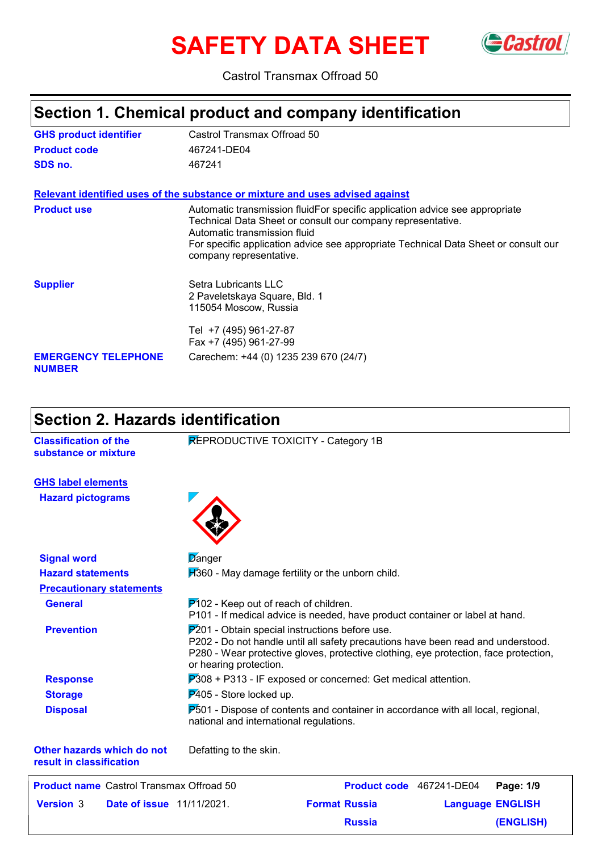# **SAFETY DATA SHEET** Gastrol



### Castrol Transmax Offroad 50

# **Section 1. Chemical product and company identification**

| <b>GHS product identifier</b>               | Castrol Transmax Offroad 50                                                                                                                                                                                                                                                                  |
|---------------------------------------------|----------------------------------------------------------------------------------------------------------------------------------------------------------------------------------------------------------------------------------------------------------------------------------------------|
| <b>Product code</b>                         | 467241-DE04                                                                                                                                                                                                                                                                                  |
| SDS no.                                     | 467241                                                                                                                                                                                                                                                                                       |
|                                             | Relevant identified uses of the substance or mixture and uses advised against                                                                                                                                                                                                                |
| <b>Product use</b>                          | Automatic transmission fluidFor specific application advice see appropriate<br>Technical Data Sheet or consult our company representative.<br>Automatic transmission fluid<br>For specific application advice see appropriate Technical Data Sheet or consult our<br>company representative. |
| <b>Supplier</b>                             | Setra Lubricants LLC<br>2 Paveletskaya Square, Bld. 1<br>115054 Moscow, Russia<br>Tel +7 (495) 961-27-87<br>Fax +7 (495) 961-27-99                                                                                                                                                           |
| <b>EMERGENCY TELEPHONE</b><br><b>NUMBER</b> | Carechem: +44 (0) 1235 239 670 (24/7)                                                                                                                                                                                                                                                        |

# **Section 2. Hazards identification**

| <b>Classification of the</b><br>substance or mixture | REPRODUCTIVE TOXICITY - Category 1B                                                                                                                                                                                                                    |  |  |  |
|------------------------------------------------------|--------------------------------------------------------------------------------------------------------------------------------------------------------------------------------------------------------------------------------------------------------|--|--|--|
| <b>GHS label elements</b>                            |                                                                                                                                                                                                                                                        |  |  |  |
| <b>Hazard pictograms</b>                             |                                                                                                                                                                                                                                                        |  |  |  |
| <b>Signal word</b>                                   | Danger                                                                                                                                                                                                                                                 |  |  |  |
| <b>Hazard statements</b>                             | H360 - May damage fertility or the unborn child.                                                                                                                                                                                                       |  |  |  |
| <b>Precautionary statements</b>                      |                                                                                                                                                                                                                                                        |  |  |  |
| <b>General</b>                                       | $P$ 102 - Keep out of reach of children.<br>P101 - If medical advice is needed, have product container or label at hand.                                                                                                                               |  |  |  |
| <b>Prevention</b>                                    | $P201$ - Obtain special instructions before use.<br>P202 - Do not handle until all safety precautions have been read and understood.<br>P280 - Wear protective gloves, protective clothing, eye protection, face protection,<br>or hearing protection. |  |  |  |
| <b>Response</b>                                      | $P308 + P313$ - IF exposed or concerned: Get medical attention.                                                                                                                                                                                        |  |  |  |
| <b>Storage</b>                                       | P405 - Store locked up.                                                                                                                                                                                                                                |  |  |  |
| <b>Disposal</b>                                      | $P_{0.501}$ - Dispose of contents and container in accordance with all local, regional,<br>national and international regulations.                                                                                                                     |  |  |  |
| Other hazards which do not                           | Defatting to the skin.                                                                                                                                                                                                                                 |  |  |  |

**result in classification**

| <b>Product name</b> Castrol Transmax Offroad 50      |                      | Product code 467241-DE04 Page: 1/9 |           |
|------------------------------------------------------|----------------------|------------------------------------|-----------|
| <b>Date of issue</b> 11/11/2021.<br><b>Version 3</b> | <b>Format Russia</b> | <b>Language ENGLISH</b>            |           |
|                                                      | <b>Russia</b>        |                                    | (ENGLISH) |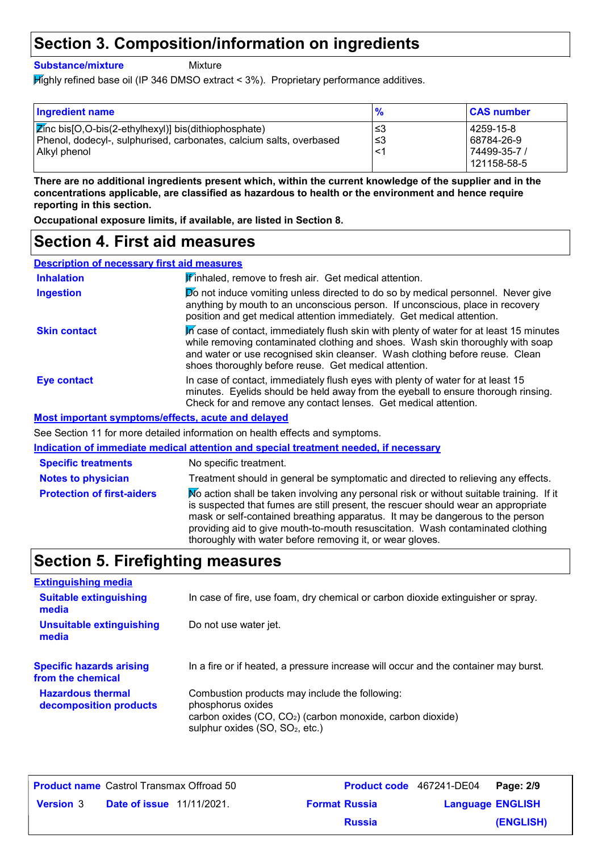### **Section 3. Composition/information on ingredients**

**Substance/mixture**

Mixture

Highly refined base oil (IP 346 DMSO extract < 3%). Proprietary performance additives.

| <b>Ingredient name</b>                                                                                                              | $\frac{9}{6}$ | <b>CAS number</b>           |
|-------------------------------------------------------------------------------------------------------------------------------------|---------------|-----------------------------|
| <b>Z</b> inc bis[O,O-bis(2-ethylhexyl)] bis(dithiophosphate)<br>Phenol, dodecyl-, sulphurised, carbonates, calcium salts, overbased | l ≤3<br> ≤3   | 4259-15-8<br>68784-26-9     |
| Alkyl phenol                                                                                                                        | <1            | 74499-35-7 /<br>121158-58-5 |

**There are no additional ingredients present which, within the current knowledge of the supplier and in the concentrations applicable, are classified as hazardous to health or the environment and hence require reporting in this section.**

**Occupational exposure limits, if available, are listed in Section 8.**

### **Section 4. First aid measures**

| <b>Description of necessary first aid measures</b> |                                                                                                                                                                                                                                                                                                                    |
|----------------------------------------------------|--------------------------------------------------------------------------------------------------------------------------------------------------------------------------------------------------------------------------------------------------------------------------------------------------------------------|
| <b>Inhalation</b>                                  | <b>If inhaled, remove to fresh air. Get medical attention.</b>                                                                                                                                                                                                                                                     |
| <b>Ingestion</b>                                   | Do not induce vomiting unless directed to do so by medical personnel. Never give<br>anything by mouth to an unconscious person. If unconscious, place in recovery<br>position and get medical attention immediately. Get medical attention.                                                                        |
| <b>Skin contact</b>                                | In case of contact, immediately flush skin with plenty of water for at least 15 minutes<br>while removing contaminated clothing and shoes. Wash skin thoroughly with soap<br>and water or use recognised skin cleanser. Wash clothing before reuse. Clean<br>shoes thoroughly before reuse. Get medical attention. |
| Eye contact                                        | In case of contact, immediately flush eyes with plenty of water for at least 15<br>minutes. Eyelids should be held away from the eyeball to ensure thorough rinsing.<br>Check for and remove any contact lenses. Get medical attention.                                                                            |
|                                                    | . <i>.</i>                                                                                                                                                                                                                                                                                                         |

**Most important symptoms/effects, acute and delayed**

See Section 11 for more detailed information on health effects and symptoms.

|                                   | Indication of immediate medical attention and special treatment needed, if necessary                                                                                                                                                                                                                                                                                                                          |
|-----------------------------------|---------------------------------------------------------------------------------------------------------------------------------------------------------------------------------------------------------------------------------------------------------------------------------------------------------------------------------------------------------------------------------------------------------------|
| <b>Specific treatments</b>        | No specific treatment.                                                                                                                                                                                                                                                                                                                                                                                        |
| <b>Notes to physician</b>         | Treatment should in general be symptomatic and directed to relieving any effects.                                                                                                                                                                                                                                                                                                                             |
| <b>Protection of first-aiders</b> | No action shall be taken involving any personal risk or without suitable training. If it<br>is suspected that fumes are still present, the rescuer should wear an appropriate<br>mask or self-contained breathing apparatus. It may be dangerous to the person<br>providing aid to give mouth-to-mouth resuscitation. Wash contaminated clothing<br>thoroughly with water before removing it, or wear gloves. |

# **Section 5. Firefighting measures**

| <b>Extinguishing media</b>                           |                                                                                                                                                                                              |
|------------------------------------------------------|----------------------------------------------------------------------------------------------------------------------------------------------------------------------------------------------|
| <b>Suitable extinguishing</b><br>media               | In case of fire, use foam, dry chemical or carbon dioxide extinguisher or spray.                                                                                                             |
| <b>Unsuitable extinguishing</b><br>media             | Do not use water jet.                                                                                                                                                                        |
| <b>Specific hazards arising</b><br>from the chemical | In a fire or if heated, a pressure increase will occur and the container may burst.                                                                                                          |
| <b>Hazardous thermal</b><br>decomposition products   | Combustion products may include the following:<br>phosphorus oxides<br>carbon oxides (CO, CO <sub>2</sub> ) (carbon monoxide, carbon dioxide)<br>sulphur oxides (SO, SO <sub>2</sub> , etc.) |

|                  | <b>Product name</b> Castrol Transmax Offroad 50 |                      | Product code 467241-DE04 Page: 2/9 |           |
|------------------|-------------------------------------------------|----------------------|------------------------------------|-----------|
| <b>Version</b> 3 | <b>Date of issue</b> 11/11/2021.                | <b>Format Russia</b> | <b>Language ENGLISH</b>            |           |
|                  |                                                 | <b>Russia</b>        |                                    | (ENGLISH) |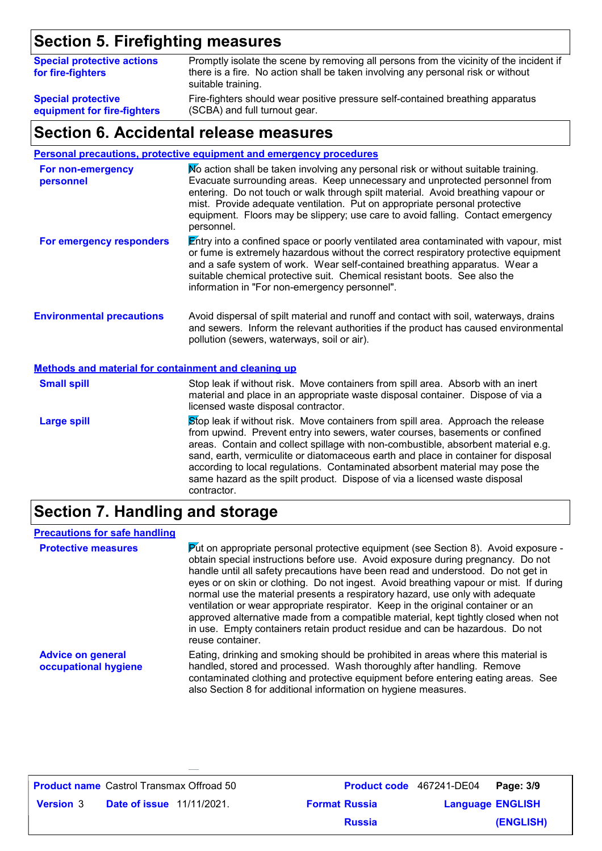# **Section 5. Firefighting measures**

| <b>Special protective actions</b><br>for fire-fighters | Promptly isolate the scene by removing all persons from the vicinity of the incident if<br>there is a fire. No action shall be taken involving any personal risk or without<br>suitable training. |
|--------------------------------------------------------|---------------------------------------------------------------------------------------------------------------------------------------------------------------------------------------------------|
| <b>Special protective</b>                              | Fire-fighters should wear positive pressure self-contained breathing apparatus                                                                                                                    |
| equipment for fire-fighters                            | (SCBA) and full turnout gear.                                                                                                                                                                     |

### **Section 6. Accidental release measures**

| <b>Personal precautions, protective equipment and emergency procedures</b> |  |  |  |  |
|----------------------------------------------------------------------------|--|--|--|--|
|                                                                            |  |  |  |  |

| For non-emergency<br>personnel                       | No action shall be taken involving any personal risk or without suitable training.<br>Evacuate surrounding areas. Keep unnecessary and unprotected personnel from<br>entering. Do not touch or walk through spilt material. Avoid breathing vapour or<br>mist. Provide adequate ventilation. Put on appropriate personal protective<br>equipment. Floors may be slippery; use care to avoid falling. Contact emergency<br>personnel. |  |  |  |  |
|------------------------------------------------------|--------------------------------------------------------------------------------------------------------------------------------------------------------------------------------------------------------------------------------------------------------------------------------------------------------------------------------------------------------------------------------------------------------------------------------------|--|--|--|--|
| For emergency responders                             | Entry into a confined space or poorly ventilated area contaminated with vapour, mist<br>or fume is extremely hazardous without the correct respiratory protective equipment<br>and a safe system of work. Wear self-contained breathing apparatus. Wear a<br>suitable chemical protective suit. Chemical resistant boots. See also the<br>information in "For non-emergency personnel".                                              |  |  |  |  |
| <b>Environmental precautions</b>                     | Avoid dispersal of spilt material and runoff and contact with soil, waterways, drains<br>and sewers. Inform the relevant authorities if the product has caused environmental<br>pollution (sewers, waterways, soil or air).                                                                                                                                                                                                          |  |  |  |  |
| Methods and material for containment and cleaning up |                                                                                                                                                                                                                                                                                                                                                                                                                                      |  |  |  |  |
| <b>Small spill</b>                                   | Stop leak if without risk. Move containers from spill area. Absorb with an inert<br>material and place in an appropriate waste disposal container. Dispose of via a<br>licensed waste disposal contractor.                                                                                                                                                                                                                           |  |  |  |  |
| <b>Large spill</b>                                   | Stop leak if without risk. Move containers from spill area. Approach the release<br>from upwind. Prevent entry into sewers, water courses, basements or confined<br>areas. Contain and collect spillage with non-combustible, absorbent material e.g.<br>sand, earth, vermiculite or diatomaceous earth and place in container for disposal<br>according to local regulations. Contaminated absorbent material may pose the          |  |  |  |  |

## **Section 7. Handling and storage**

contractor.

| <b>Precautions for safe handling</b>             |                                                                                                                                                                                                                                                                                                                                                                                                                                                                                                                                                                                                                                                                                                                                   |
|--------------------------------------------------|-----------------------------------------------------------------------------------------------------------------------------------------------------------------------------------------------------------------------------------------------------------------------------------------------------------------------------------------------------------------------------------------------------------------------------------------------------------------------------------------------------------------------------------------------------------------------------------------------------------------------------------------------------------------------------------------------------------------------------------|
| <b>Protective measures</b>                       | $\triangleright$ dt on appropriate personal protective equipment (see Section 8). Avoid exposure -<br>obtain special instructions before use. Avoid exposure during pregnancy. Do not<br>handle until all safety precautions have been read and understood. Do not get in<br>eyes or on skin or clothing. Do not ingest. Avoid breathing vapour or mist. If during<br>normal use the material presents a respiratory hazard, use only with adequate<br>ventilation or wear appropriate respirator. Keep in the original container or an<br>approved alternative made from a compatible material, kept tightly closed when not<br>in use. Empty containers retain product residue and can be hazardous. Do not<br>reuse container. |
| <b>Advice on general</b><br>occupational hygiene | Eating, drinking and smoking should be prohibited in areas where this material is<br>handled, stored and processed. Wash thoroughly after handling. Remove<br>contaminated clothing and protective equipment before entering eating areas. See<br>also Section 8 for additional information on hygiene measures.                                                                                                                                                                                                                                                                                                                                                                                                                  |

same hazard as the spilt product. Dispose of via a licensed waste disposal

|                  | <b>Product name</b> Castrol Transmax Offroad 50 |                      | Product code 467241-DE04 Page: 3/9 |           |
|------------------|-------------------------------------------------|----------------------|------------------------------------|-----------|
| <b>Version</b> 3 | <b>Date of issue</b> 11/11/2021.                | <b>Format Russia</b> | <b>Language ENGLISH</b>            |           |
|                  |                                                 | <b>Russia</b>        |                                    | (ENGLISH) |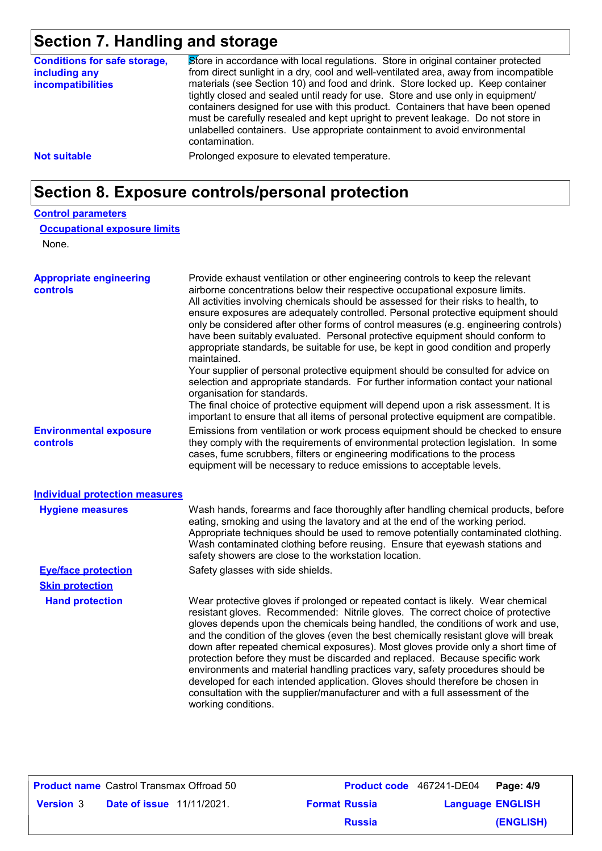# **Section 7. Handling and storage**

| <b>Conditions for safe storage,</b><br>including any<br><b>incompatibilities</b> | Store in accordance with local regulations. Store in original container protected<br>from direct sunlight in a dry, cool and well-ventilated area, away from incompatible<br>materials (see Section 10) and food and drink. Store locked up. Keep container<br>tightly closed and sealed until ready for use. Store and use only in equipment/<br>containers designed for use with this product. Containers that have been opened<br>must be carefully resealed and kept upright to prevent leakage. Do not store in<br>unlabelled containers. Use appropriate containment to avoid environmental<br>contamination. |  |  |  |  |
|----------------------------------------------------------------------------------|---------------------------------------------------------------------------------------------------------------------------------------------------------------------------------------------------------------------------------------------------------------------------------------------------------------------------------------------------------------------------------------------------------------------------------------------------------------------------------------------------------------------------------------------------------------------------------------------------------------------|--|--|--|--|
| <b>Not suitable</b>                                                              | Prolonged exposure to elevated temperature.                                                                                                                                                                                                                                                                                                                                                                                                                                                                                                                                                                         |  |  |  |  |
| Section 8. Exposure controls/personal protection                                 |                                                                                                                                                                                                                                                                                                                                                                                                                                                                                                                                                                                                                     |  |  |  |  |

#### **Control parameters**

#### **Occupational exposure limits**

None.

| <b>Appropriate engineering</b><br>controls | Provide exhaust ventilation or other engineering controls to keep the relevant<br>airborne concentrations below their respective occupational exposure limits.<br>All activities involving chemicals should be assessed for their risks to health, to<br>ensure exposures are adequately controlled. Personal protective equipment should<br>only be considered after other forms of control measures (e.g. engineering controls)<br>have been suitably evaluated. Personal protective equipment should conform to<br>appropriate standards, be suitable for use, be kept in good condition and properly<br>maintained.<br>Your supplier of personal protective equipment should be consulted for advice on<br>selection and appropriate standards. For further information contact your national<br>organisation for standards.<br>The final choice of protective equipment will depend upon a risk assessment. It is<br>important to ensure that all items of personal protective equipment are compatible. |
|--------------------------------------------|---------------------------------------------------------------------------------------------------------------------------------------------------------------------------------------------------------------------------------------------------------------------------------------------------------------------------------------------------------------------------------------------------------------------------------------------------------------------------------------------------------------------------------------------------------------------------------------------------------------------------------------------------------------------------------------------------------------------------------------------------------------------------------------------------------------------------------------------------------------------------------------------------------------------------------------------------------------------------------------------------------------|
| <b>Environmental exposure</b><br>controls  | Emissions from ventilation or work process equipment should be checked to ensure<br>they comply with the requirements of environmental protection legislation. In some<br>cases, fume scrubbers, filters or engineering modifications to the process<br>equipment will be necessary to reduce emissions to acceptable levels.                                                                                                                                                                                                                                                                                                                                                                                                                                                                                                                                                                                                                                                                                 |
| <b>Individual protection measures</b>      |                                                                                                                                                                                                                                                                                                                                                                                                                                                                                                                                                                                                                                                                                                                                                                                                                                                                                                                                                                                                               |
| <b>Hygiene measures</b>                    | Wash hands, forearms and face thoroughly after handling chemical products, before<br>eating, smoking and using the lavatory and at the end of the working period.<br>Appropriate techniques should be used to remove potentially contaminated clothing.<br>Wash contaminated clothing before reusing. Ensure that eyewash stations and<br>safety showers are close to the workstation location.                                                                                                                                                                                                                                                                                                                                                                                                                                                                                                                                                                                                               |
| <b>Eve/face protection</b>                 | Safety glasses with side shields.                                                                                                                                                                                                                                                                                                                                                                                                                                                                                                                                                                                                                                                                                                                                                                                                                                                                                                                                                                             |
| <b>Skin protection</b>                     |                                                                                                                                                                                                                                                                                                                                                                                                                                                                                                                                                                                                                                                                                                                                                                                                                                                                                                                                                                                                               |
| <b>Hand protection</b>                     | Wear protective gloves if prolonged or repeated contact is likely. Wear chemical<br>resistant gloves. Recommended: Nitrile gloves. The correct choice of protective<br>gloves depends upon the chemicals being handled, the conditions of work and use,<br>and the condition of the gloves (even the best chemically resistant glove will break<br>down after repeated chemical exposures). Most gloves provide only a short time of<br>protection before they must be discarded and replaced. Because specific work<br>environments and material handling practices vary, safety procedures should be<br>developed for each intended application. Gloves should therefore be chosen in<br>consultation with the supplier/manufacturer and with a full assessment of the<br>working conditions.                                                                                                                                                                                                               |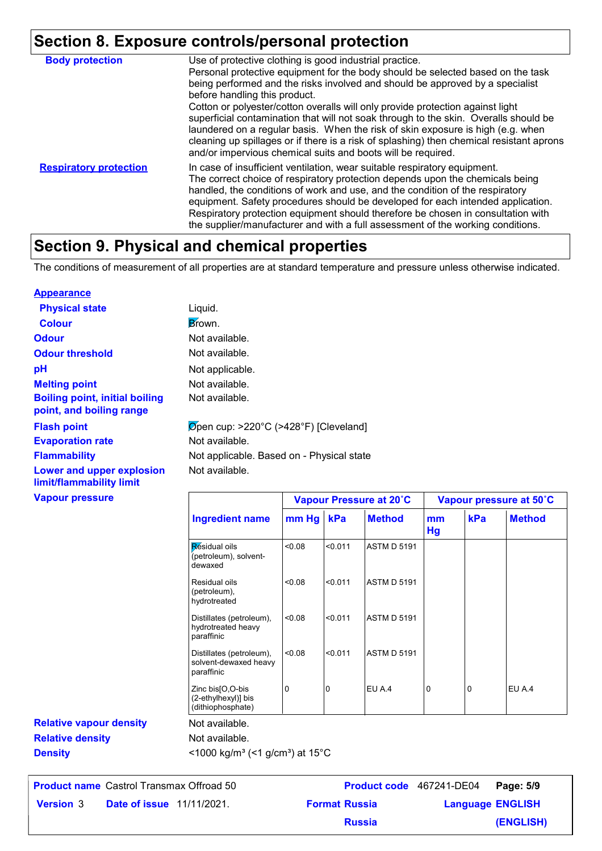# **Section 8. Exposure controls/personal protection**

| <b>Body protection</b>        | Use of protective clothing is good industrial practice.<br>Personal protective equipment for the body should be selected based on the task<br>being performed and the risks involved and should be approved by a specialist<br>before handling this product.<br>Cotton or polyester/cotton overalls will only provide protection against light<br>superficial contamination that will not soak through to the skin. Overalls should be<br>laundered on a regular basis. When the risk of skin exposure is high (e.g. when<br>cleaning up spillages or if there is a risk of splashing) then chemical resistant aprons<br>and/or impervious chemical suits and boots will be required. |
|-------------------------------|---------------------------------------------------------------------------------------------------------------------------------------------------------------------------------------------------------------------------------------------------------------------------------------------------------------------------------------------------------------------------------------------------------------------------------------------------------------------------------------------------------------------------------------------------------------------------------------------------------------------------------------------------------------------------------------|
| <b>Respiratory protection</b> | In case of insufficient ventilation, wear suitable respiratory equipment.<br>The correct choice of respiratory protection depends upon the chemicals being<br>handled, the conditions of work and use, and the condition of the respiratory<br>equipment. Safety procedures should be developed for each intended application.<br>Respiratory protection equipment should therefore be chosen in consultation with<br>the supplier/manufacturer and with a full assessment of the working conditions.                                                                                                                                                                                 |

### **Section 9. Physical and chemical properties**

The conditions of measurement of all properties are at standard temperature and pressure unless otherwise indicated.

#### **Appearance**

| Liquid.                                            |
|----------------------------------------------------|
| Brown.                                             |
| Not available.                                     |
| Not available.                                     |
| Not applicable.                                    |
| Not available.                                     |
| Not available.                                     |
| $\varnothing$ pen cup: >220°C (>428°F) [Cleveland] |
| Not available.                                     |
| Not applicable. Based on - Physical state          |
| Not available.                                     |
|                                                    |

#### **Vapour pressure**

| <b>Vapour pressure</b>         |                                                                 | Vapour Pressure at 20°C |         |                    |          | Vapour pressure at 50°C |               |  |
|--------------------------------|-----------------------------------------------------------------|-------------------------|---------|--------------------|----------|-------------------------|---------------|--|
|                                | <b>Ingredient name</b>                                          | mm Hg                   | kPa     | <b>Method</b>      | mm<br>Hg | kPa                     | <b>Method</b> |  |
|                                | Residual oils<br>(petroleum), solvent-<br>dewaxed               | 0.08                    | < 0.011 | <b>ASTM D 5191</b> |          |                         |               |  |
|                                | Residual oils<br>(petroleum),<br>hydrotreated                   | < 0.08                  | < 0.011 | <b>ASTM D 5191</b> |          |                         |               |  |
|                                | Distillates (petroleum),<br>hydrotreated heavy<br>paraffinic    | < 0.08                  | < 0.011 | <b>ASTM D 5191</b> |          |                         |               |  |
|                                | Distillates (petroleum),<br>solvent-dewaxed heavy<br>paraffinic | < 0.08                  | < 0.011 | <b>ASTM D 5191</b> |          |                         |               |  |
|                                | Zinc bis[O,O-bis<br>(2-ethylhexyl)] bis<br>(dithiophosphate)    | 0                       | 10      | EU A.4             | 0        | 0                       | EU A.4        |  |
| <b>Relative vapour density</b> | Not available.                                                  |                         |         |                    |          |                         |               |  |
| <b>Relative density</b>        | Not available.                                                  |                         |         |                    |          |                         |               |  |
| <b>Density</b>                 | <1000 kg/m <sup>3</sup> (<1 g/cm <sup>3</sup> ) at 15°C         |                         |         |                    |          |                         |               |  |

|                  | <b>Product name</b> Castrol Transmax Offroad 50 |                      | Product code 467241-DE04 Page: 5/9 |           |
|------------------|-------------------------------------------------|----------------------|------------------------------------|-----------|
| <b>Version</b> 3 | <b>Date of issue</b> 11/11/2021.                | <b>Format Russia</b> | <b>Language ENGLISH</b>            |           |
|                  |                                                 | <b>Russia</b>        |                                    | (ENGLISH) |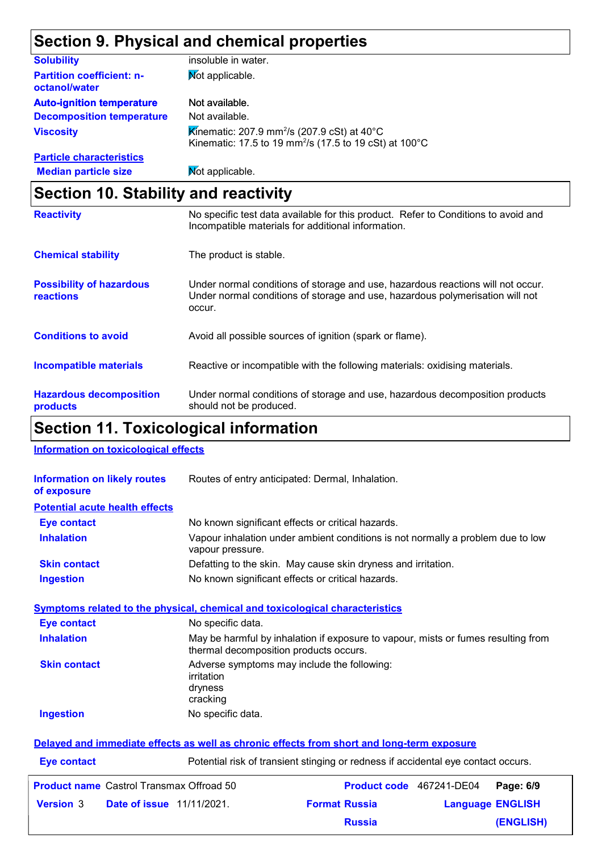# **Section 9. Physical and chemical properties**

| <b>Solubility</b>                                 | insoluble in water.                                                                                                           |
|---------------------------------------------------|-------------------------------------------------------------------------------------------------------------------------------|
| <b>Partition coefficient: n-</b><br>octanol/water | Mot applicable.                                                                                                               |
| <b>Auto-ignition temperature</b>                  | Not available.                                                                                                                |
| <b>Decomposition temperature</b>                  | Not available.                                                                                                                |
| <b>Viscosity</b>                                  | Kinematic: 207.9 mm <sup>2</sup> /s (207.9 cSt) at 40°C<br>Kinematic: 17.5 to 19 mm <sup>2</sup> /s (17.5 to 19 cSt) at 100°C |
| <b>Particle characteristics</b>                   |                                                                                                                               |
| <b>Median particle size</b>                       | <b>Not applicable.</b>                                                                                                        |

# **Section 10. Stability and reactivity**

| <b>Reactivity</b>                                   | No specific test data available for this product. Refer to Conditions to avoid and<br>Incompatible materials for additional information.                                   |
|-----------------------------------------------------|----------------------------------------------------------------------------------------------------------------------------------------------------------------------------|
| <b>Chemical stability</b>                           | The product is stable.                                                                                                                                                     |
| <b>Possibility of hazardous</b><br><b>reactions</b> | Under normal conditions of storage and use, hazardous reactions will not occur.<br>Under normal conditions of storage and use, hazardous polymerisation will not<br>occur. |
| <b>Conditions to avoid</b>                          | Avoid all possible sources of ignition (spark or flame).                                                                                                                   |
| <b>Incompatible materials</b>                       | Reactive or incompatible with the following materials: oxidising materials.                                                                                                |
| <b>Hazardous decomposition</b><br>products          | Under normal conditions of storage and use, hazardous decomposition products<br>should not be produced.                                                                    |

# **Section 11. Toxicological information**

**Information on toxicological effects**

| <b>Information on likely routes</b><br>of exposure                                  | Routes of entry anticipated: Dermal, Inhalation.                                  |                                                                                                                             |  |                         |  |  |
|-------------------------------------------------------------------------------------|-----------------------------------------------------------------------------------|-----------------------------------------------------------------------------------------------------------------------------|--|-------------------------|--|--|
| <b>Potential acute health effects</b>                                               |                                                                                   |                                                                                                                             |  |                         |  |  |
| <b>Eye contact</b>                                                                  |                                                                                   | No known significant effects or critical hazards.                                                                           |  |                         |  |  |
| <b>Inhalation</b>                                                                   | vapour pressure.                                                                  | Vapour inhalation under ambient conditions is not normally a problem due to low                                             |  |                         |  |  |
| <b>Skin contact</b>                                                                 |                                                                                   | Defatting to the skin. May cause skin dryness and irritation.                                                               |  |                         |  |  |
| <b>Ingestion</b>                                                                    |                                                                                   | No known significant effects or critical hazards.                                                                           |  |                         |  |  |
| <b>Symptoms related to the physical, chemical and toxicological characteristics</b> |                                                                                   |                                                                                                                             |  |                         |  |  |
| <b>Eye contact</b>                                                                  | No specific data.                                                                 |                                                                                                                             |  |                         |  |  |
| <b>Inhalation</b>                                                                   |                                                                                   | May be harmful by inhalation if exposure to vapour, mists or fumes resulting from<br>thermal decomposition products occurs. |  |                         |  |  |
| <b>Skin contact</b>                                                                 | Adverse symptoms may include the following:<br>irritation<br>dryness<br>cracking  |                                                                                                                             |  |                         |  |  |
| <b>Ingestion</b>                                                                    | No specific data.                                                                 |                                                                                                                             |  |                         |  |  |
|                                                                                     |                                                                                   | Delayed and immediate effects as well as chronic effects from short and long-term exposure                                  |  |                         |  |  |
| <b>Eye contact</b>                                                                  | Potential risk of transient stinging or redness if accidental eye contact occurs. |                                                                                                                             |  |                         |  |  |
| <b>Product name</b> Castrol Transmax Offroad 50                                     |                                                                                   | Product code 467241-DE04                                                                                                    |  | Page: 6/9               |  |  |
| <b>Version 3</b><br><b>Date of issue 11/11/2021.</b>                                |                                                                                   | <b>Format Russia</b>                                                                                                        |  | <b>Language ENGLISH</b> |  |  |
|                                                                                     |                                                                                   | <b>Russia</b>                                                                                                               |  | <b>(ENGLISH)</b>        |  |  |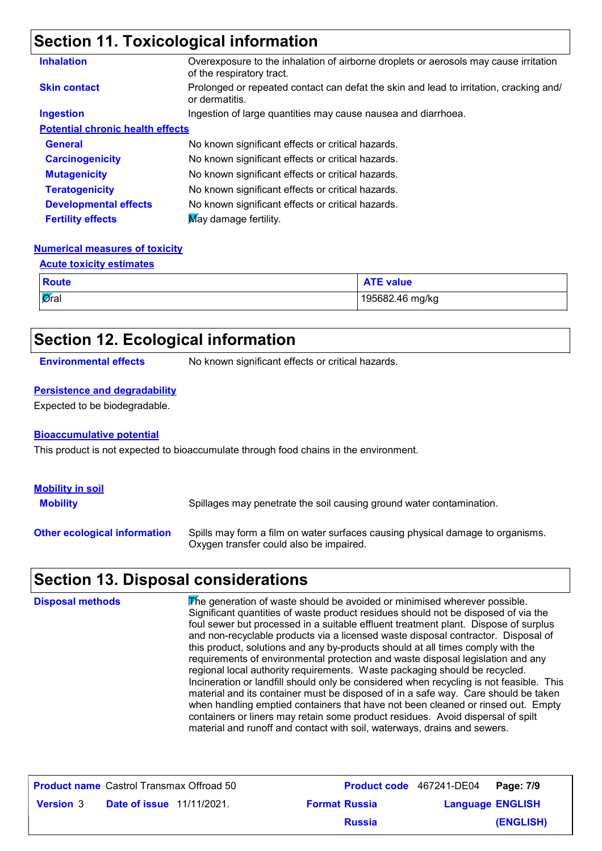# **Section 11. Toxicological information**

| <b>Inhalation</b>                       | Overexposure to the inhalation of airborne droplets or aerosols may cause irritation<br>of the respiratory tract. |
|-----------------------------------------|-------------------------------------------------------------------------------------------------------------------|
| <b>Skin contact</b>                     | Prolonged or repeated contact can defat the skin and lead to irritation, cracking and/<br>or dermatitis.          |
| <b>Ingestion</b>                        | Ingestion of large quantities may cause nausea and diarrhoea.                                                     |
| <b>Potential chronic health effects</b> |                                                                                                                   |
| <b>General</b>                          | No known significant effects or critical hazards.                                                                 |
| <b>Carcinogenicity</b>                  | No known significant effects or critical hazards.                                                                 |
| <b>Mutagenicity</b>                     | No known significant effects or critical hazards.                                                                 |
| <b>Teratogenicity</b>                   | No known significant effects or critical hazards.                                                                 |
| <b>Developmental effects</b>            | No known significant effects or critical hazards.                                                                 |
| <b>Fertility effects</b>                | May damage fertility.                                                                                             |

#### **Numerical measures of toxicity**

| <b>Acute toxicity estimates</b> |                  |  |  |
|---------------------------------|------------------|--|--|
| <b>Route</b>                    | <b>ATE value</b> |  |  |
| $\overline{\mathsf{a}}$ ral     | 195682.46 mg/kg  |  |  |

### **Section 12. Ecological information**

**Environmental effects** No known significant effects or critical hazards.

#### **Persistence and degradability**

Expected to be biodegradable.

#### **Bioaccumulative potential**

This product is not expected to bioaccumulate through food chains in the environment.

| <b>Mobility in soil</b><br><b>Mobility</b> | Spillages may penetrate the soil causing ground water contamination.                                                      |
|--------------------------------------------|---------------------------------------------------------------------------------------------------------------------------|
| <b>Other ecological information</b>        | Spills may form a film on water surfaces causing physical damage to organisms.<br>Oxygen transfer could also be impaired. |

### **Section 13. Disposal considerations**

| <b>Disposal methods</b> | The generation of waste should be avoided or minimised wherever possible.<br>Significant quantities of waste product residues should not be disposed of via the<br>foul sewer but processed in a suitable effluent treatment plant. Dispose of surplus<br>and non-recyclable products via a licensed waste disposal contractor. Disposal of<br>this product, solutions and any by-products should at all times comply with the<br>requirements of environmental protection and waste disposal legislation and any<br>regional local authority requirements. Waste packaging should be recycled.<br>Incineration or landfill should only be considered when recycling is not feasible. This<br>material and its container must be disposed of in a safe way. Care should be taken<br>when handling emptied containers that have not been cleaned or rinsed out. Empty<br>containers or liners may retain some product residues. Avoid dispersal of spilt |
|-------------------------|---------------------------------------------------------------------------------------------------------------------------------------------------------------------------------------------------------------------------------------------------------------------------------------------------------------------------------------------------------------------------------------------------------------------------------------------------------------------------------------------------------------------------------------------------------------------------------------------------------------------------------------------------------------------------------------------------------------------------------------------------------------------------------------------------------------------------------------------------------------------------------------------------------------------------------------------------------|
|                         | material and runoff and contact with soil, waterways, drains and sewers.                                                                                                                                                                                                                                                                                                                                                                                                                                                                                                                                                                                                                                                                                                                                                                                                                                                                                |

|                  | <b>Product name</b> Castrol Transmax Offroad 50 |                      | Product code 467241-DE04 Page: 7/9 |           |
|------------------|-------------------------------------------------|----------------------|------------------------------------|-----------|
| <b>Version 3</b> | <b>Date of issue</b> 11/11/2021.                | <b>Format Russia</b> | <b>Language ENGLISH</b>            |           |
|                  |                                                 | <b>Russia</b>        |                                    | (ENGLISH) |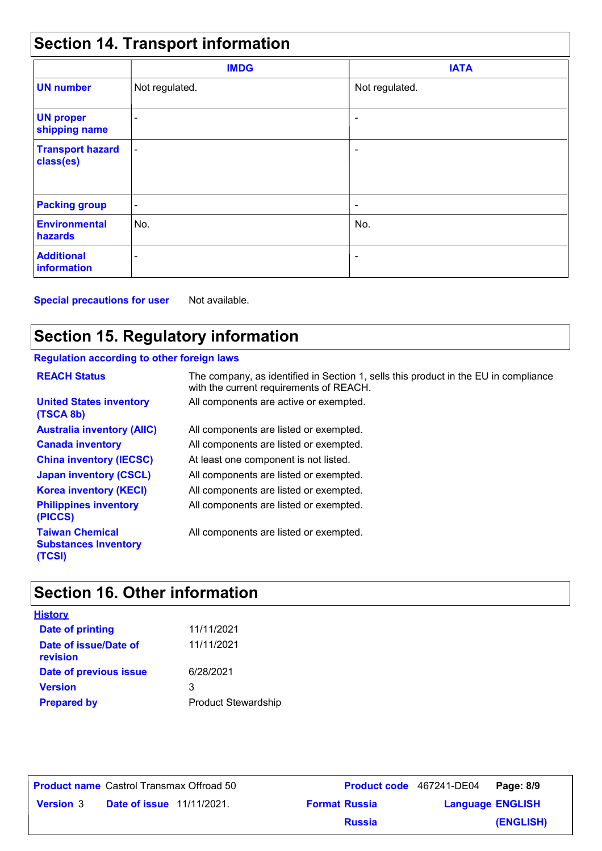# **Section 14. Transport information**

|                                      | <b>IMDG</b>              | <b>IATA</b>              |
|--------------------------------------|--------------------------|--------------------------|
| <b>UN number</b>                     | Not regulated.           | Not regulated.           |
| <b>UN proper</b><br>shipping name    | $\overline{\phantom{0}}$ | ۰                        |
| <b>Transport hazard</b><br>class(es) | $\blacksquare$           | $\overline{\phantom{a}}$ |
| <b>Packing group</b>                 | $\overline{\phantom{a}}$ | ٠                        |
| <b>Environmental</b><br>hazards      | No.                      | No.                      |
| <b>Additional</b><br>information     | $\overline{\phantom{0}}$ | $\overline{a}$           |

**Special precautions for user** Not available.

# **Section 15. Regulatory information**

### **Regulation according to other foreign laws**

| <b>REACH Status</b>                                             | The company, as identified in Section 1, sells this product in the EU in compliance<br>with the current requirements of REACH. |
|-----------------------------------------------------------------|--------------------------------------------------------------------------------------------------------------------------------|
| <b>United States inventory</b><br>(TSCA 8b)                     | All components are active or exempted.                                                                                         |
| <b>Australia inventory (AIIC)</b>                               | All components are listed or exempted.                                                                                         |
| <b>Canada inventory</b>                                         | All components are listed or exempted.                                                                                         |
| <b>China inventory (IECSC)</b>                                  | At least one component is not listed.                                                                                          |
| <b>Japan inventory (CSCL)</b>                                   | All components are listed or exempted.                                                                                         |
| <b>Korea inventory (KECI)</b>                                   | All components are listed or exempted.                                                                                         |
| <b>Philippines inventory</b><br>(PICCS)                         | All components are listed or exempted.                                                                                         |
| <b>Taiwan Chemical</b><br><b>Substances Inventory</b><br>(TCSI) | All components are listed or exempted.                                                                                         |

# **Section 16. Other information**

| <b>History</b>                    |                            |
|-----------------------------------|----------------------------|
| <b>Date of printing</b>           | 11/11/2021                 |
| Date of issue/Date of<br>revision | 11/11/2021                 |
| Date of previous issue            | 6/28/2021                  |
| <b>Version</b>                    | 3                          |
| <b>Prepared by</b>                | <b>Product Stewardship</b> |

**Product name** Castrol Transmax Offroad 50

**Date of issue** 11/11/2021. **Version** 3 **Format Russia Language** Castrol Transmax Offroad 50 **Product code** 467241-DE04 **Page: 8/9** | **Language ENGLISH (ENGLISH) Russia**